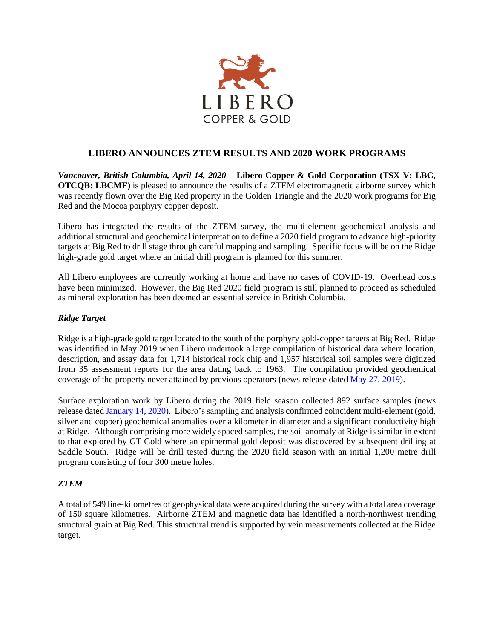

# **LIBERO ANNOUNCES ZTEM RESULTS AND 2020 WORK PROGRAMS**

*Vancouver, British Columbia, April 14, 2020* **– Libero Copper & Gold Corporation (TSX-V: LBC, OTCOB: LBCMF**) is pleased to announce the results of a ZTEM electromagnetic airborne survey which was recently flown over the Big Red property in the Golden Triangle and the 2020 work programs for Big Red and the Mocoa porphyry copper deposit.

Libero has integrated the results of the ZTEM survey, the multi-element geochemical analysis and additional structural and geochemical interpretation to define a 2020 field program to advance high-priority targets at Big Red to drill stage through careful mapping and sampling. Specific focus will be on the Ridge high-grade gold target where an initial drill program is planned for this summer.

All Libero employees are currently working at home and have no cases of COVID-19. Overhead costs have been minimized. However, the Big Red 2020 field program is still planned to proceed as scheduled as mineral exploration has been deemed an essential service in British Columbia.

## *Ridge Target*

Ridge is a high-grade gold target located to the south of the porphyry gold-copper targets at Big Red. Ridge was identified in May 2019 when Libero undertook a large compilation of historical data where location, description, and assay data for 1,714 historical rock chip and 1,957 historical soil samples were digitized from 35 assessment reports for the area dating back to 1963. The compilation provided geochemical coverage of the property never attained by previous operators (news release dated [May 27, 2019\)](http://liberocopper.com/_resources/news/nr_20190527.pdf).

Surface exploration work by Libero during the 2019 field season collected 892 surface samples (news release dated [January 14, 2020\)](http://liberocopper.com/_resources/news/nr-20200114.pdf). Libero's sampling and analysis confirmed coincident multi-element (gold, silver and copper) geochemical anomalies over a kilometer in diameter and a significant conductivity high at Ridge. Although comprising more widely spaced samples, the soil anomaly at Ridge is similar in extent to that explored by GT Gold where an epithermal gold deposit was discovered by subsequent drilling at Saddle South. Ridge will be drill tested during the 2020 field season with an initial 1,200 metre drill program consisting of four 300 metre holes.

# *ZTEM*

A total of 549 line-kilometres of geophysical data were acquired during the survey with a total area coverage of 150 square kilometres. Airborne ZTEM and magnetic data has identified a north-northwest trending structural grain at Big Red. This structural trend is supported by vein measurements collected at the Ridge target.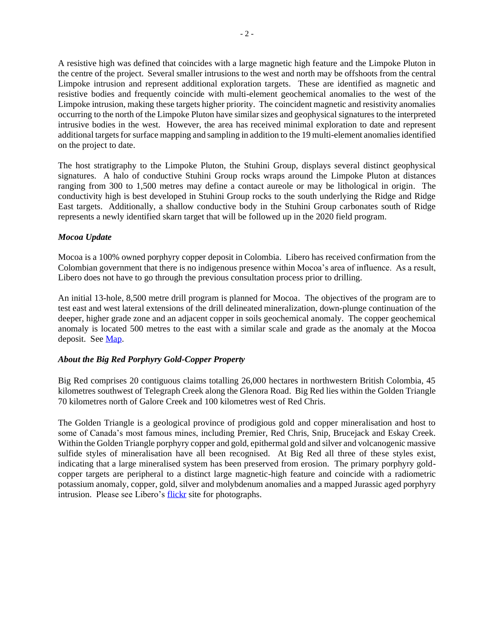intrusive bodies in the west. However, the area has received minimal exploration to date and represent additional targets for surface mapping and sampling in addition to the 19 multi-element anomalies identified on the project to date.

The host stratigraphy to the Limpoke Pluton, the Stuhini Group, displays several distinct geophysical signatures. A halo of conductive Stuhini Group rocks wraps around the Limpoke Pluton at distances ranging from 300 to 1,500 metres may define a contact aureole or may be lithological in origin. The conductivity high is best developed in Stuhini Group rocks to the south underlying the Ridge and Ridge East targets. Additionally, a shallow conductive body in the Stuhini Group carbonates south of Ridge represents a newly identified skarn target that will be followed up in the 2020 field program.

## *Mocoa Update*

Mocoa is a 100% owned porphyry copper deposit in Colombia. Libero has received confirmation from the Colombian government that there is no indigenous presence within Mocoa's area of influence. As a result, Libero does not have to go through the previous consultation process prior to drilling.

An initial 13-hole, 8,500 metre drill program is planned for Mocoa. The objectives of the program are to test east and west lateral extensions of the drill delineated mineralization, down-plunge continuation of the deeper, higher grade zone and an adjacent copper in soils geochemical anomaly. The copper geochemical anomaly is located 500 metres to the east with a similar scale and grade as the anomaly at the Mocoa deposit. Se[e Map.](http://liberocopper.com/projects/mocoa/maps/)

## *About the Big Red Porphyry Gold-Copper Property*

Big Red comprises 20 contiguous claims totalling 26,000 hectares in northwestern British Colombia, 45 kilometres southwest of Telegraph Creek along the Glenora Road. Big Red lies within the Golden Triangle 70 kilometres north of Galore Creek and 100 kilometres west of Red Chris.

The Golden Triangle is a geological province of prodigious gold and copper mineralisation and host to some of Canada's most famous mines, including Premier, Red Chris, Snip, Brucejack and Eskay Creek. Within the Golden Triangle porphyry copper and gold, epithermal gold and silver and volcanogenic massive sulfide styles of mineralisation have all been recognised. At Big Red all three of these styles exist, indicating that a large mineralised system has been preserved from erosion. The primary porphyry goldcopper targets are peripheral to a distinct large magnetic-high feature and coincide with a radiometric potassium anomaly, copper, gold, silver and molybdenum anomalies and a mapped Jurassic aged porphyry intrusion. Please see Libero's [flickr](https://www.flickr.com/photos/150654141@N07/albums) site for photographs.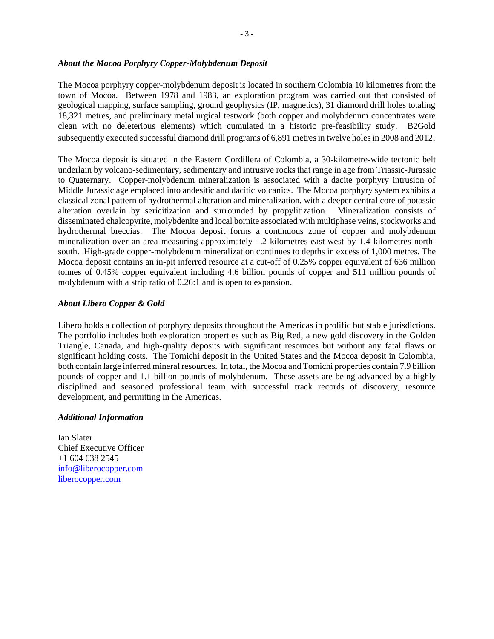#### *About the Mocoa Porphyry Copper-Molybdenum Deposit*

The Mocoa porphyry copper-molybdenum deposit is located in southern Colombia 10 kilometres from the town of Mocoa. Between 1978 and 1983, an exploration program was carried out that consisted of geological mapping, surface sampling, ground geophysics (IP, magnetics), 31 diamond drill holes totaling 18,321 metres, and preliminary metallurgical testwork (both copper and molybdenum concentrates were clean with no deleterious elements) which cumulated in a historic pre-feasibility study. B2Gold subsequently executed successful diamond drill programs of 6,891 metres in twelve holes in 2008 and 2012.

The Mocoa deposit is situated in the Eastern Cordillera of Colombia, a 30-kilometre-wide tectonic belt underlain by volcano-sedimentary, sedimentary and intrusive rocks that range in age from Triassic-Jurassic to Quaternary. Copper-molybdenum mineralization is associated with a dacite porphyry intrusion of Middle Jurassic age emplaced into andesitic and dacitic volcanics. The Mocoa porphyry system exhibits a classical zonal pattern of hydrothermal alteration and mineralization, with a deeper central core of potassic alteration overlain by sericitization and surrounded by propylitization. Mineralization consists of disseminated chalcopyrite, molybdenite and local bornite associated with multiphase veins, stockworks and hydrothermal breccias. The Mocoa deposit forms a continuous zone of copper and molybdenum mineralization over an area measuring approximately 1.2 kilometres east-west by 1.4 kilometres northsouth. High-grade copper-molybdenum mineralization continues to depths in excess of 1,000 metres. The Mocoa deposit contains an in-pit inferred resource at a cut-off of 0.25% copper equivalent of 636 million tonnes of 0.45% copper equivalent including 4.6 billion pounds of copper and 511 million pounds of molybdenum with a strip ratio of 0.26:1 and is open to expansion.

## *About Libero Copper & Gold*

Libero holds a collection of porphyry deposits throughout the Americas in prolific but stable jurisdictions. The portfolio includes both exploration properties such as Big Red, a new gold discovery in the Golden Triangle, Canada, and high-quality deposits with significant resources but without any fatal flaws or significant holding costs. The Tomichi deposit in the United States and the Mocoa deposit in Colombia, both contain large inferred mineral resources. In total, the Mocoa and Tomichi properties contain 7.9 billion pounds of copper and 1.1 billion pounds of molybdenum. These assets are being advanced by a highly disciplined and seasoned professional team with successful track records of discovery, resource development, and permitting in the Americas.

#### *Additional Information*

Ian Slater Chief Executive Officer +1 604 638 2545 [info@liberocopper.com](mailto:info@liberocopper.com)  [liberocopper.com](file:///C:/Users/leohathaway/Downloads/www.liberocopper.com)